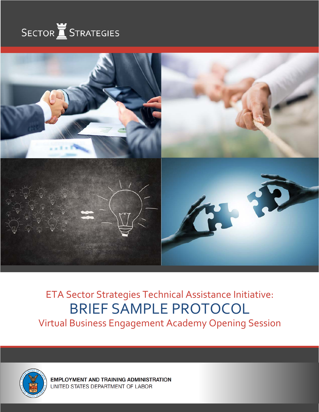



# ETA Sector Strategies Technical Assistance Initiative: BRIEF SAMPLE PROTOCOL Virtual Business Engagement Academy Opening Session

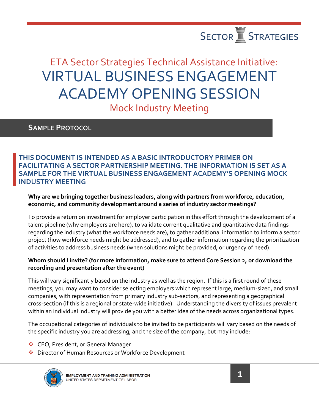

# ETA Sector Strategies Technical Assistance Initiative: VIRTUAL BUSINESS ENGAGEMENT ACADEMY OPENING SESSION Mock Industry Meeting

### **SAMPLE PROTOCOL**

### **INDUSTRY MEETING THIS DOCUMENT IS INTENDED AS A BASIC INTRODUCTORY PRIMER ON FACILITATING A SECTOR PARTNERSHIP MEETING. THE INFORMATION IS SET AS A SAMPLE FOR THE VIRTUAL BUSINESS ENGAGEMENT ACADEMY'S OPENING MOCK**

### **Why are we bringing together business leaders, along with partners from workforce, education, economic, and community development around a series of industry sector meetings?**

To provide a return on investment for employer participation in this effort through the development of a talent pipeline (why employers are here), to validate current qualitative and quantitative data findings regarding the industry (what the workforce needs are), to gather additional information to inform a sector project (how workforce needs might be addressed), and to gather information regarding the prioritization of activities to address business needs (when solutions might be provided, or urgency of need).

### **Whom should I invite? (for more information, make sure to attend Core Session 2, or download the recording and presentation after the event)**

 meetings, you may want to consider selecting employers which represent large, medium-sized, and small This will vary significantly based on the industry as well as the region. If this is a first round of these companies, with representation from primary industry sub-sectors, and representing a geographical cross-section (if this is a regional or state-wide initiative). Understanding the diversity of issues prevalent within an individual industry will provide you with a better idea of the needs across organizational types.

The occupational categories of individuals to be invited to be participants will vary based on the needs of the specific industry you are addressing, and the size of the company, but may include:

- **EO**, President, or General Manager
- ◆ Director of Human Resources or Workforce Development

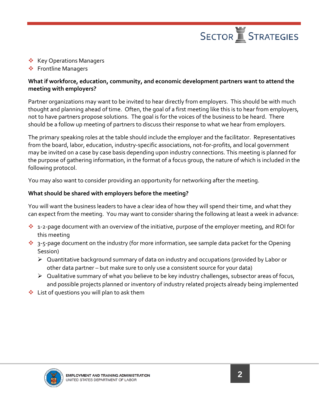

- ❖ Key Operations Managers
- ❖ Frontline Managers

### **What if workforce, education, community, and economic development partners want to attend the meeting with employers?**

Partner organizations may want to be invited to hear directly from employers. This should be with much thought and planning ahead of time. Often, the goal of a first meeting like this is to hear from employers, not to have partners propose solutions. The goal is for the voices of the business to be heard. There should be a follow up meeting of partners to discuss their response to what we hear from employers.

The primary speaking roles at the table should include the employer and the facilitator. Representatives from the board, labor, education, industry-specific associations, not-for-profits, and local government may be invited on a case by case basis depending upon industry connections. This meeting is planned for the purpose of gathering information, in the format of a focus group, the nature of which is included in the following protocol.<br>You may also want to consider providing an opportunity for networking after the meeting.

#### **What should be shared with employers before the meeting?**

You will want the business leaders to have a clear idea of how they will spend their time, and what they can expect from the meeting. You may want to consider sharing the following at least a week in advance:

- ◆ 1-2-page document with an overview of the initiative, purpose of the employer meeting, and ROI for this meeting
- $\cdot \cdot$  3-5-page document on the industry (for more information, see sample data packet for the Opening Session)
	- $\triangleright$  Quantitative background summary of data on industry and occupations (provided by Labor or other data partner – but make sure to only use a consistent source for your data)
	- $\triangleright$  Qualitative summary of what you believe to be key industry challenges, subsector areas of focus, and possible projects planned or inventory of industry related projects already being implemented
- $\cdot$  List of questions you will plan to ask them

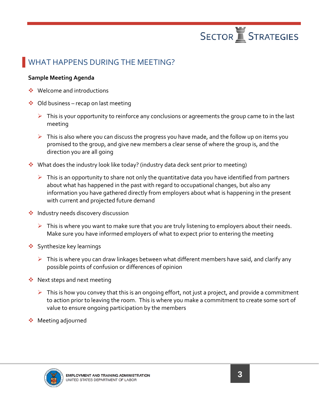

## WHAT HAPPENS DURING THE MEETING?

### **Sample Meeting Agenda**

- **❖** Welcome and introductions
- $\triangleleft$  Old business recap on last meeting
	- $\triangleright$  This is your opportunity to reinforce any conclusions or agreements the group came to in the last meeting
	- $\triangleright$  This is also where you can discuss the progress you have made, and the follow up on items you promised to the group, and give new members a clear sense of where the group is, and the direction you are all going
- What does the industry look like today? (industry data deck sent prior to meeting)
	- $\triangleright$  This is an opportunity to share not only the quantitative data you have identified from partners about what has happened in the past with regard to occupational changes, but also any information you have gathered directly from employers about what is happening in the present with current and projected future demand
- **Industry needs discovery discussion** 
	- $\triangleright$  This is where you want to make sure that you are truly listening to employers about their needs.<br>Make sure you have informed employers of what to expect prior to entering the meeting
- ❖ Synthesize key learnings
	- $\triangleright$  This is where you can draw linkages between what different members have said, and clarify any possible points of confusion or differences of opinion
- ◆ Next steps and next meeting
	- $\triangleright$  This is how you convey that this is an ongoing effort, not just a project, and provide a commitment to action prior to leaving the room. This is where you make a commitment to create some sort of value to ensure ongoing participation by the members
- **◆** Meeting adjourned

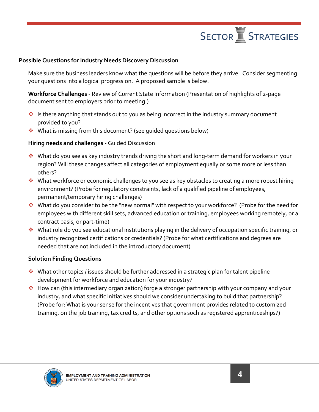

### **Possible Questions for Industry Needs Discovery Discussion**

Make sure the business leaders know what the questions will be before they arrive. Consider segmenting your questions into a logical progression. A proposed sample is below.

**Workforce Challenges** - Review of Current State Information (Presentation of highlights of 2-page document sent to employers prior to meeting.)

- $\cdot$  Is there anything that stands out to you as being incorrect in the industry summary document provided to you?
- What is missing from this document? (see guided questions below)

### **Hiring needs and challenges** - Guided Discussion

- others? What do you see as key industry trends driving the short and long-term demand for workers in your region? Will these changes affect all categories of employment equally or some more or less than
- What workforce or economic challenges to you see as key obstacles to creating a more robust hiring environment? (Probe for regulatory constraints, lack of a qualified pipeline of employees, permanent/temporary hiring challenges)
- What do you consider to be the "new normal" with respect to your workforce? (Probe for the need for employees with different skill sets, advanced education or training, employees working remotely, or a contract basis, or part-time)
- ◆ What role do you see educational institutions playing in the delivery of occupation specific training, or industry recognized certifications or credentials? (Probe for what certifications and degrees are needed that are not included in the introductory document)

#### **Solution Finding Questions**

- What other topics / issues should be further addressed in a strategic plan for talent pipeline development for workforce and education for your industry?
- training, on the job training, tax credits, and other options such as registered apprenticeships?) ◆ How can (this intermediary organization) forge a stronger partnership with your company and your industry, and what specific initiatives should we consider undertaking to build that partnership? (Probe for: What is your sense for the incentives that government provides related to customized